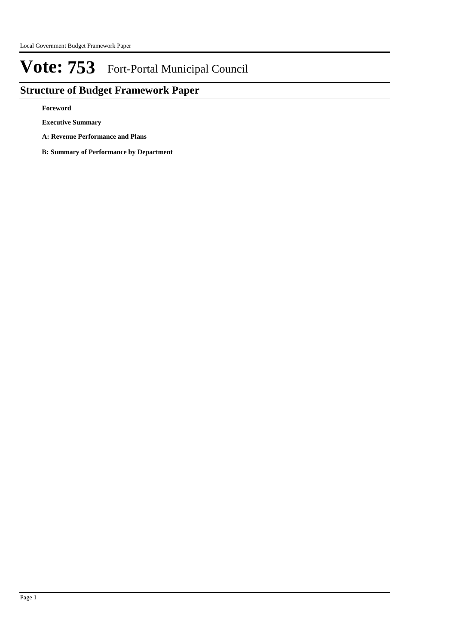## **Structure of Budget Framework Paper**

**Foreword**

**Executive Summary**

- **A: Revenue Performance and Plans**
- **B: Summary of Performance by Department**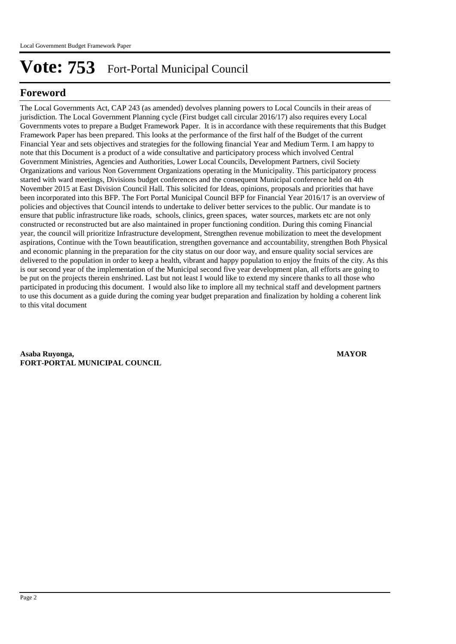### **Foreword**

The Local Governments Act, CAP 243 (as amended) devolves planning powers to Local Councils in their areas of jurisdiction. The Local Government Planning cycle (First budget call circular 2016/17) also requires every Local Governments votes to prepare a Budget Framework Paper. It is in accordance with these requirements that this Budget Framework Paper has been prepared. This looks at the performance of the first half of the Budget of the current Financial Year and sets objectives and strategies for the following financial Year and Medium Term. I am happy to note that this Document is a product of a wide consultative and participatory process which involved Central Government Ministries, Agencies and Authorities, Lower Local Councils, Development Partners, civil Society Organizations and various Non Government Organizations operating in the Municipality. This participatory process started with ward meetings, Divisions budget conferences and the consequent Municipal conference held on 4th November 2015 at East Division Council Hall. This solicited for Ideas, opinions, proposals and priorities that have been incorporated into this BFP. The Fort Portal Municipal Council BFP for Financial Year 2016/17 is an overview of policies and objectives that Council intends to undertake to deliver better services to the public. Our mandate is to ensure that public infrastructure like roads, schools, clinics, green spaces, water sources, markets etc are not only constructed or reconstructed but are also maintained in proper functioning condition. During this coming Financial year, the council will prioritize Infrastructure development, Strengthen revenue mobilization to meet the development aspirations, Continue with the Town beautification, strengthen governance and accountability, strengthen Both Physical and economic planning in the preparation for the city status on our door way, and ensure quality social services are delivered to the population in order to keep a health, vibrant and happy population to enjoy the fruits of the city. As this is our second year of the implementation of the Municipal second five year development plan, all efforts are going to be put on the projects therein enshrined. Last but not least I would like to extend my sincere thanks to all those who participated in producing this document. I would also like to implore all my technical staff and development partners to use this document as a guide during the coming year budget preparation and finalization by holding a coherent link to this vital document

**Asaba Ruyonga, MAYOR FORT-PORTAL MUNICIPAL COUNCIL**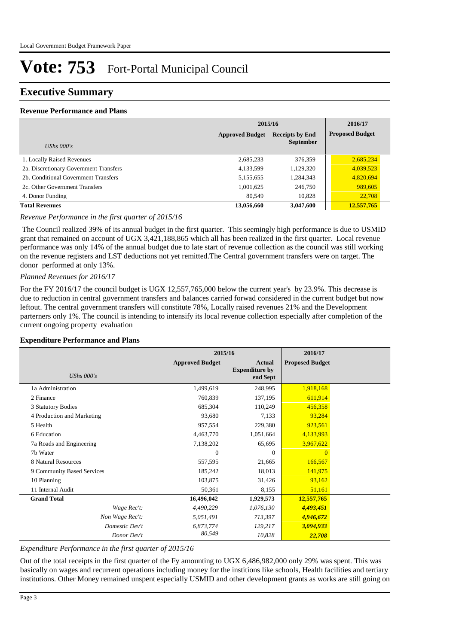### **Executive Summary**

#### **Revenue Performance and Plans**

|                                        | 2015/16                | 2016/17                |                        |
|----------------------------------------|------------------------|------------------------|------------------------|
|                                        | <b>Approved Budget</b> | <b>Receipts by End</b> | <b>Proposed Budget</b> |
| UShs $000's$                           |                        | <b>September</b>       |                        |
| 1. Locally Raised Revenues             | 2,685,233              | 376,359                | 2,685,234              |
| 2a. Discretionary Government Transfers | 4,133,599              | 1,129,320              | 4,039,523              |
| 2b. Conditional Government Transfers   | 5,155,655              | 1,284,343              | 4,820,694              |
| 2c. Other Government Transfers         | 1,001,625              | 246,750                | 989,605                |
| 4. Donor Funding                       | 80,549                 | 10,828                 | 22,708                 |
| <b>Total Revenues</b>                  | 13,056,660             | 3,047,600              | 12,557,765             |

#### *Revenue Performance in the first quarter of 2015/16*

 The Council realized 39% of its annual budget in the first quarter. This seemingly high performance is due to USMID grant that remained on account of UGX 3,421,188,865 which all has been realized in the first quarter. Local revenue performance was only 14% of the annual budget due to late start of revenue collection as the council was still working on the revenue registers and LST deductions not yet remitted.The Central government transfers were on target. The donor performed at only 13%.

#### *Planned Revenues for 2016/17*

For the FY 2016/17 the council budget is UGX 12,557,765,000 below the current year's by 23.9%. This decrease is due to reduction in central government transfers and balances carried forwad considered in the current budget but now leftout. The central government transfers will constitute 78%, Locally raised revenues 21% and the Development parterners only 1%. The council is intending to intensify its local revenue collection especially after completion of the current ongoing property evaluation

#### **Expenditure Performance and Plans**

|                            | 2015/16                |                                                    | 2016/17                |  |
|----------------------------|------------------------|----------------------------------------------------|------------------------|--|
| UShs $000's$               | <b>Approved Budget</b> | <b>Actual</b><br><b>Expenditure by</b><br>end Sept | <b>Proposed Budget</b> |  |
| 1a Administration          | 1,499,619              | 248,995                                            | 1,918,168              |  |
| 2 Finance                  | 760,839                | 137,195                                            | 611,914                |  |
| 3 Statutory Bodies         | 685,304                | 110,249                                            | 456,358                |  |
| 4 Production and Marketing | 93,680                 | 7,133                                              | 93,284                 |  |
| 5 Health                   | 957,554                | 229,380                                            | 923,561                |  |
| 6 Education                | 4,463,770              | 1,051,664                                          | 4,133,993              |  |
| 7a Roads and Engineering   | 7,138,202              | 65,695                                             | 3,967,622              |  |
| 7b Water                   | $\theta$               | $\Omega$                                           | $\Omega$               |  |
| 8 Natural Resources        | 557,595                | 21,665                                             | 166,567                |  |
| 9 Community Based Services | 185,242                | 18,013                                             | 141,975                |  |
| 10 Planning                | 103,875                | 31,426                                             | 93,162                 |  |
| 11 Internal Audit          | 50,361                 | 8,155                                              | 51,161                 |  |
| <b>Grand Total</b>         | 16,496,042             | 1,929,573                                          | 12,557,765             |  |
| Wage Rec't:                | 4,490,229              | 1,076,130                                          | 4,493,451              |  |
| Non Wage Rec't:            | 5,051,491              | 713,397                                            | 4,946,672              |  |
| Domestic Dev't             | 6,873,774              | 129,217                                            | 3,094,933              |  |
| Donor Dev't                | 80,549                 | 10,828                                             | 22,708                 |  |

#### *Expenditure Performance in the first quarter of 2015/16*

Out of the total receipts in the first quarter of the Fy amounting to UGX 6,486,982,000 only 29% was spent. This was basically on wages and recurrent operations including money for the institions like schools, Health facilities and tertiary institutions. Other Money remained unspent especially USMID and other development grants as works are still going on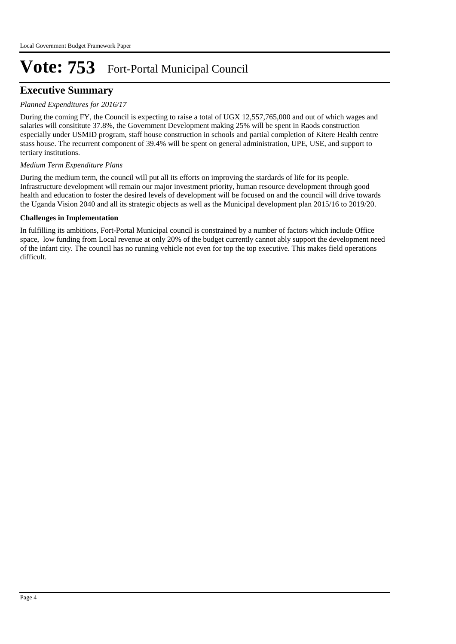### **Executive Summary**

#### *Planned Expenditures for 2016/17*

During the coming FY, the Council is expecting to raise a total of UGX 12,557,765,000 and out of which wages and salaries will consititute 37.8%, the Government Development making 25% will be spent in Raods construction especially under USMID program, staff house construction in schools and partial completion of Kitere Health centre stass house. The recurrent component of 39.4% will be spent on general administration, UPE, USE, and support to tertiary institutions.

#### *Medium Term Expenditure Plans*

During the medium term, the council will put all its efforts on improving the stardards of life for its people. Infrastructure development will remain our major investment priority, human resource development through good health and education to foster the desired levels of development will be focused on and the council will drive towards the Uganda Vision 2040 and all its strategic objects as well as the Municipal development plan 2015/16 to 2019/20.

#### **Challenges in Implementation**

In fulfilling its ambitions, Fort-Portal Municipal council is constrained by a number of factors which include Office space, low funding from Local revenue at only 20% of the budget currently cannot ably support the development need of the infant city. The council has no running vehicle not even for top the top executive. This makes field operations difficult.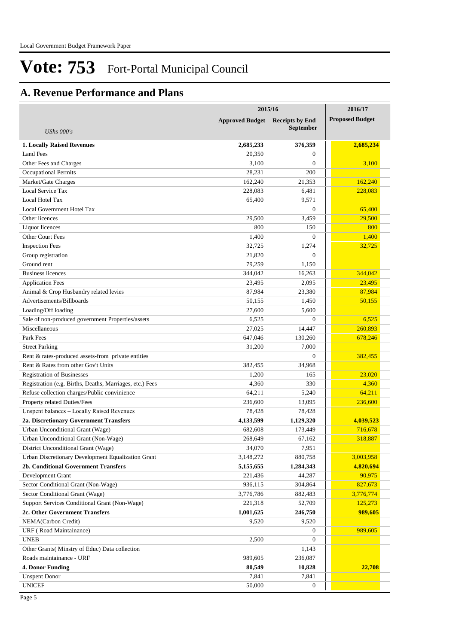## **A. Revenue Performance and Plans**

|                                                          | 2015/16                | 2016/17                                    |                        |
|----------------------------------------------------------|------------------------|--------------------------------------------|------------------------|
| UShs $000's$                                             | <b>Approved Budget</b> | <b>Receipts by End</b><br><b>September</b> | <b>Proposed Budget</b> |
| <b>1. Locally Raised Revenues</b>                        | 2,685,233              | 376,359                                    | 2,685,234              |
| <b>Land Fees</b>                                         | 20,350                 | $\overline{0}$                             |                        |
| Other Fees and Charges                                   | 3,100                  | $\overline{0}$                             | 3,100                  |
| <b>Occupational Permits</b>                              | 28,231                 | 200                                        |                        |
| Market/Gate Charges                                      | 162,240                | 21,353                                     | 162,240                |
| Local Service Tax                                        | 228,083                | 6,481                                      | 228,083                |
| Local Hotel Tax                                          | 65,400                 | 9,571                                      |                        |
| Local Government Hotel Tax                               |                        | $\overline{0}$                             | 65,400                 |
| Other licences                                           | 29,500                 | 3,459                                      | 29,500                 |
| Liquor licences                                          | 800                    | 150                                        | 800                    |
| Other Court Fees                                         | 1,400                  | $\overline{0}$                             | 1,400                  |
| <b>Inspection Fees</b>                                   | 32,725                 | 1,274                                      | 32,725                 |
| Group registration                                       | 21,820                 | $\Omega$                                   |                        |
| Ground rent                                              | 79,259                 | 1,150                                      |                        |
| <b>Business licences</b>                                 | 344,042                | 16,263                                     | 344,042                |
| <b>Application Fees</b>                                  | 23,495                 | 2,095                                      | 23,495                 |
| Animal & Crop Husbandry related levies                   | 87,984                 | 23,380                                     | 87,984                 |
| Advertisements/Billboards                                | 50,155                 | 1,450                                      | 50,155                 |
| Loading/Off loading                                      | 27,600                 | 5,600                                      |                        |
| Sale of non-produced government Properties/assets        | 6,525                  | $\mathbf{0}$                               | 6,525                  |
| Miscellaneous                                            | 27,025                 | 14,447                                     | 260,893                |
| Park Fees                                                | 647,046                | 130,260                                    | 678,246                |
| <b>Street Parking</b>                                    | 31,200                 | 7,000                                      |                        |
| Rent & rates-produced assets-from private entities       |                        | $\mathbf{0}$                               | 382,455                |
| Rent & Rates from other Gov't Units                      | 382,455                | 34,968                                     |                        |
| <b>Registration of Businesses</b>                        | 1,200                  | 165                                        | 23,020                 |
| Registration (e.g. Births, Deaths, Marriages, etc.) Fees | 4,360                  | 330                                        | 4,360                  |
| Refuse collection charges/Public convinience             | 64,211                 | 5,240                                      | 64,211                 |
| Property related Duties/Fees                             | 236,600                | 13,095                                     | 236,600                |
| Unspent balances - Locally Raised Revenues               | 78,428                 | 78,428                                     |                        |
| 2a. Discretionary Government Transfers                   | 4,133,599              | 1,129,320                                  | 4,039,523              |
| Urban Unconditional Grant (Wage)                         | 682,608                | 173,449                                    | 716,678                |
| Urban Unconditional Grant (Non-Wage)                     | 268,649                | 67,162                                     | 318,887                |
| District Unconditional Grant (Wage)                      | 34,070                 | 7,951                                      |                        |
| Urban Discretionary Development Equalization Grant       | 3,148,272              | 880,758                                    | 3,003,958              |
| 2b. Conditional Government Transfers                     | 5,155,655              | 1,284,343                                  | 4,820,694              |
| Development Grant                                        | 221,436                | 44,287                                     | 90,975                 |
| Sector Conditional Grant (Non-Wage)                      | 936,115                | 304,864                                    | 827,673                |
| Sector Conditional Grant (Wage)                          | 3,776,786              | 882,483                                    | 3,776,774              |
| Support Services Conditional Grant (Non-Wage)            | 221,318                | 52,709                                     | 125,273                |
| 2c. Other Government Transfers                           | 1,001,625              | 246,750                                    | 989,605                |
| NEMA(Carbon Credit)                                      | 9,520                  | 9,520                                      |                        |
| URF (Road Maintainance)                                  |                        | 0                                          | 989,605                |
| <b>UNEB</b>                                              | 2,500                  | $\overline{0}$                             |                        |
| Other Grants( Minstry of Educ) Data collection           |                        | 1,143                                      |                        |
| Roads maintainance - URF                                 |                        |                                            |                        |
| <b>4. Donor Funding</b>                                  | 989,605<br>80,549      | 236,087<br>10,828                          | 22,708                 |
| <b>Unspent Donor</b>                                     | 7,841                  | 7,841                                      |                        |
| <b>UNICEF</b>                                            | 50,000                 | 0                                          |                        |
|                                                          |                        |                                            |                        |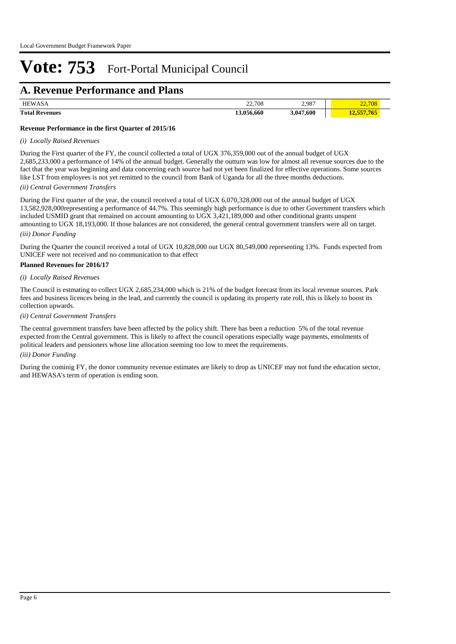### **A. Revenue Performance and Plans**

| <b>HEWASA</b>         | 22,708          | 2,987     | 22,100 |  |
|-----------------------|-----------------|-----------|--------|--|
| <b>Total Revenues</b> | 13 056<br>6,660 | 3,047,600 |        |  |

#### **Revenue Performance in the first Quarter of 2015/16**

#### *(i) Locally Raised Revenues*

During the First quarter of the FY, the council collected a total of UGX 376,359,000 out of the annual budget of UGX 2,685,233,000 a performance of 14% of the annual budget. Generally the outturn was low for almost all revenue sources due to the fact that the year was beginning and data concerning each source had not yet been finalized for effective operations. Some sources like LST from employees is not yet remitted to the council from Bank of Uganda for all the three months deductions.

#### *(ii) Central Government Transfers*

During the First quarter of the year, the council received a total of UGX 6,070,328,000 out of the annual budget of UGX 13,582,928,000representing a performance of 44.7%. This seemingly high performance is due to other Government transfers which included USMID grant that remained on account amounting to UGX 3,421,189,000 and other conditional grants unspent amounting to UGX 18,193,000. If those balances are not considered, the general central government transfers were all on target.

#### *(iii) Donor Funding*

During the Quarter the council received a total of UGX 10,828,000 out UGX 80,549,000 representing 13%. Funds expected from UNICEF were not received and no communication to that effect

#### **Planned Revenues for 2016/17**

#### *(i) Locally Raised Revenues*

The Council is estmating to collect UGX 2,685,234,000 which is 21% of the budget forecast from its local revenue sources. Park fees and business licences being in the lead, and currently the council is updating its property rate roll, this is likely to boost its collection upwards.

#### *(ii) Central Government Transfers*

The central government transfers have been affected by the policy shift. There has been a reduction 5% of the total revenue expected from the Central government. This is likely to affect the council operations especially wage payments, emolments of political leaders and pensioners whose line allocation seeming too low to meet the requirements.

#### *(iii) Donor Funding*

During the cominig FY, the donor community revenue estimates are likely to drop as UNICEF may not fund the education sector, and HEWASA's term of operation is ending soon.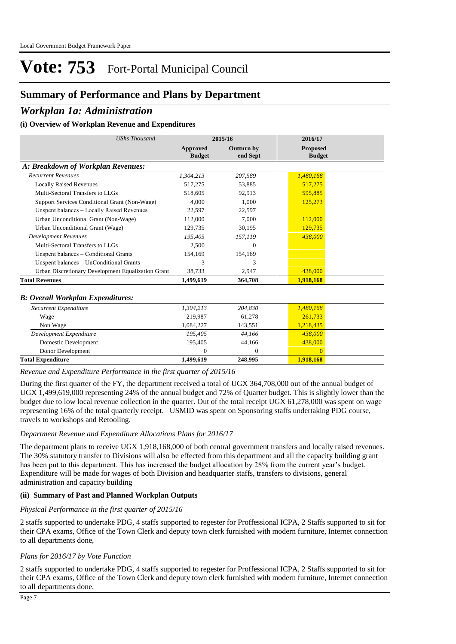### **Summary of Performance and Plans by Department**

### *Workplan 1a: Administration*

#### **(i) Overview of Workplan Revenue and Expenditures**

| <b>UShs Thousand</b>                               |                           | 2015/16                | 2016/17                          |
|----------------------------------------------------|---------------------------|------------------------|----------------------------------|
|                                                    | Approved<br><b>Budget</b> | Outturn by<br>end Sept | <b>Proposed</b><br><b>Budget</b> |
| A: Breakdown of Workplan Revenues:                 |                           |                        |                                  |
| <b>Recurrent Revenues</b>                          | 1,304,213                 | 207,589                | 1,480,168                        |
| <b>Locally Raised Revenues</b>                     | 517,275                   | 53,885                 | 517,275                          |
| Multi-Sectoral Transfers to LLGs                   | 518,605                   | 92,913                 | 595,885                          |
| Support Services Conditional Grant (Non-Wage)      | 4.000                     | 1.000                  | 125,273                          |
| Unspent balances - Locally Raised Revenues         | 22,597                    | 22,597                 |                                  |
| Urban Unconditional Grant (Non-Wage)               | 112,000                   | 7.000                  | 112,000                          |
| Urban Unconditional Grant (Wage)                   | 129,735                   | 30,195                 | 129,735                          |
| <b>Development Revenues</b>                        | 195.405                   | 157,119                | 438,000                          |
| Multi-Sectoral Transfers to LLGs                   | 2,500                     | $\Omega$               |                                  |
| Unspent balances - Conditional Grants              | 154,169                   | 154,169                |                                  |
| Unspent balances - UnConditional Grants            | 3                         | 3                      |                                  |
| Urban Discretionary Development Equalization Grant | 38,733                    | 2,947                  | 438,000                          |
| <b>Total Revenues</b>                              | 1,499,619                 | 364,708                | 1,918,168                        |
| <b>B: Overall Workplan Expenditures:</b>           |                           |                        |                                  |
| Recurrent Expenditure                              | 1,304,213                 | 204,830                | 1,480,168                        |
| Wage                                               | 219.987                   | 61,278                 | 261,733                          |
| Non Wage                                           | 1,084,227                 | 143,551                | 1,218,435                        |
| Development Expenditure                            | 195,405                   | 44,166                 | 438,000                          |
| Domestic Development                               | 195,405                   | 44,166                 | 438,000                          |
| Donor Development                                  | $\Omega$                  | $\mathbf{0}$           | $\Omega$                         |
| <b>Total Expenditure</b>                           | 1,499,619                 | 248,995                | 1,918,168                        |

*Revenue and Expenditure Performance in the first quarter of 2015/16*

During the first quarter of the FY, the department received a total of UGX 364,708,000 out of the annual budget of UGX 1,499,619,000 representing 24% of the annual budget and 72% of Quarter budget. This is slightly lower than the budget due to low local revenue collection in the quarter. Out of the total receipt UGX 61,278,000 was spent on wage representing 16% of the total quarterly receipt. USMID was spent on Sponsoring staffs undertaking PDG course, travels to workshops and Retooling.

#### *Department Revenue and Expenditure Allocations Plans for 2016/17*

The department plans to receive UGX 1,918,168,000 of both central government transfers and locally raised revenues. The 30% statutory transfer to Divisions will also be effected from this department and all the capacity building grant has been put to this department. This has increased the budget allocation by 28% from the current year's budget. Expenditure will be made for wages of both Division and headquarter staffs, transfers to divisions, general administration and capacity building

#### **(ii) Summary of Past and Planned Workplan Outputs**

#### *Physical Performance in the first quarter of 2015/16*

2 staffs supported to undertake PDG, 4 staffs supported to regester for Proffessional ICPA, 2 Staffs supported to sit for their CPA exams, Office of the Town Clerk and deputy town clerk furnished with modern furniture, Internet connection to all departments done,

#### *Plans for 2016/17 by Vote Function*

2 staffs supported to undertake PDG, 4 staffs supported to regester for Proffessional ICPA, 2 Staffs supported to sit for their CPA exams, Office of the Town Clerk and deputy town clerk furnished with modern furniture, Internet connection to all departments done,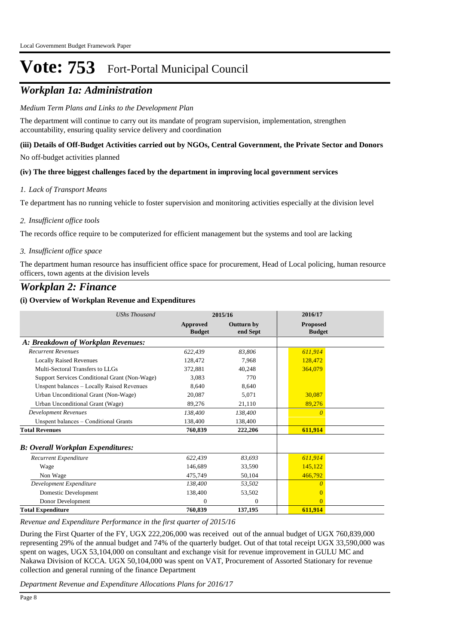## *Workplan 1a: Administration*

#### *Medium Term Plans and Links to the Development Plan*

The department will continue to carry out its mandate of program supervision, implementation, strengthen accountability, ensuring quality service delivery and coordination

#### **(iii) Details of Off-Budget Activities carried out by NGOs, Central Government, the Private Sector and Donors**

No off-budget activities planned

#### **(iv) The three biggest challenges faced by the department in improving local government services**

#### *Lack of Transport Means 1.*

Te department has no running vehicle to foster supervision and monitoring activities especially at the division level

#### *Insufficient office tools 2.*

The records office require to be computerized for efficient management but the systems and tool are lacking

#### *Insufficient office space 3.*

The department human resource has insufficient office space for procurement, Head of Local policing, human resource officers, town agents at the division levels

### *Workplan 2: Finance*

#### **(i) Overview of Workplan Revenue and Expenditures**

| <b>UShs Thousand</b>                          |                                  | 2015/16                       | 2016/17                          |
|-----------------------------------------------|----------------------------------|-------------------------------|----------------------------------|
|                                               | <b>Approved</b><br><b>Budget</b> | <b>Outturn by</b><br>end Sept | <b>Proposed</b><br><b>Budget</b> |
| A: Breakdown of Workplan Revenues:            |                                  |                               |                                  |
| <b>Recurrent Revenues</b>                     | 622,439                          | 83,806                        | 611,914                          |
| <b>Locally Raised Revenues</b>                | 128,472                          | 7.968                         | 128,472                          |
| Multi-Sectoral Transfers to LLGs              | 372,881                          | 40,248                        | 364,079                          |
| Support Services Conditional Grant (Non-Wage) | 3.083                            | 770                           |                                  |
| Unspent balances - Locally Raised Revenues    | 8.640                            | 8.640                         |                                  |
| Urban Unconditional Grant (Non-Wage)          | 20.087                           | 5,071                         | 30,087                           |
| Urban Unconditional Grant (Wage)              | 89,276                           | 21,110                        | 89,276                           |
| <b>Development Revenues</b>                   | 138,400                          | 138,400                       | $\Omega$                         |
| Unspent balances – Conditional Grants         | 138,400                          | 138,400                       |                                  |
| <b>Total Revenues</b>                         | 760,839                          | 222,206                       | 611,914                          |
| <b>B: Overall Workplan Expenditures:</b>      |                                  |                               |                                  |
| Recurrent Expenditure                         | 622,439                          | 83,693                        | 611,914                          |
| Wage                                          | 146.689                          | 33,590                        | 145,122                          |
| Non Wage                                      | 475,749                          | 50,104                        | 466,792                          |
| Development Expenditure                       | 138,400                          | 53,502                        | $\theta$                         |
| Domestic Development                          | 138,400                          | 53,502                        | $\Omega$                         |
| Donor Development                             | $\Omega$                         | $\Omega$                      | $\Omega$                         |
| <b>Total Expenditure</b>                      | 760,839                          | 137,195                       | 611,914                          |

*Revenue and Expenditure Performance in the first quarter of 2015/16*

During the First Quarter of the FY, UGX 222,206,000 was received out of the annual budget of UGX 760,839,000 representing 29% of the annual budget and 74% of the quarterly budget. Out of that total receipt UGX 33,590,000 was spent on wages, UGX 53,104,000 on consultant and exchange visit for revenue improvement in GULU MC and Nakawa Division of KCCA. UGX 50,104,000 was spent on VAT, Procurement of Assorted Stationary for revenue collection and general running of the finance Department

*Department Revenue and Expenditure Allocations Plans for 2016/17*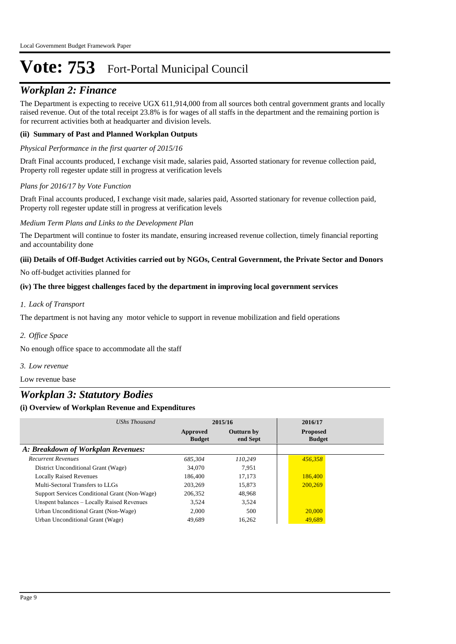## *Workplan 2: Finance*

The Department is expecting to receive UGX 611,914,000 from all sources both central government grants and locally raised revenue. Out of the total receipt 23.8% is for wages of all staffs in the department and the remaining portion is for recurrent activities both at headquarter and division levels.

#### **(ii) Summary of Past and Planned Workplan Outputs**

#### *Physical Performance in the first quarter of 2015/16*

Draft Final accounts produced, I exchange visit made, salaries paid, Assorted stationary for revenue collection paid, Property roll regester update still in progress at verification levels

#### *Plans for 2016/17 by Vote Function*

Draft Final accounts produced, I exchange visit made, salaries paid, Assorted stationary for revenue collection paid, Property roll regester update still in progress at verification levels

#### *Medium Term Plans and Links to the Development Plan*

The Department will continue to foster its mandate, ensuring increased revenue collection, timely financial reporting and accountability done

#### **(iii) Details of Off-Budget Activities carried out by NGOs, Central Government, the Private Sector and Donors**

No off-budget activities planned for

#### **(iv) The three biggest challenges faced by the department in improving local government services**

#### *Lack of Transport 1.*

The department is not having any motor vehicle to support in revenue mobilization and field operations

*Office Space 2.*

No enough office space to accommodate all the staff

*Low revenue 3.*

Low revenue base

### *Workplan 3: Statutory Bodies*

| UShs Thousand                                 |                           | 2015/16                       | 2016/17                          |
|-----------------------------------------------|---------------------------|-------------------------------|----------------------------------|
|                                               | Approved<br><b>Budget</b> | <b>Outturn by</b><br>end Sept | <b>Proposed</b><br><b>Budget</b> |
| A: Breakdown of Workplan Revenues:            |                           |                               |                                  |
| <b>Recurrent Revenues</b>                     | 685.304                   | 110,249                       | 456.358                          |
| District Unconditional Grant (Wage)           | 34,070                    | 7.951                         |                                  |
| <b>Locally Raised Revenues</b>                | 186,400                   | 17.173                        | 186,400                          |
| Multi-Sectoral Transfers to LLGs              | 203.269                   | 15,873                        | 200,269                          |
| Support Services Conditional Grant (Non-Wage) | 206,352                   | 48.968                        |                                  |
| Unspent balances - Locally Raised Revenues    | 3.524                     | 3,524                         |                                  |
| Urban Unconditional Grant (Non-Wage)          | 2,000                     | 500                           | 20,000                           |
| Urban Unconditional Grant (Wage)              | 49,689                    | 16.262                        | 49,689                           |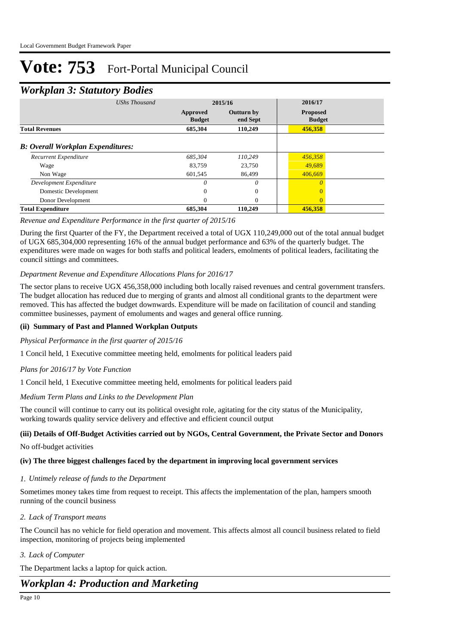### *Workplan 3: Statutory Bodies*

| ┻<br>$\checkmark$                        |                      |                           |                               |                                  |  |
|------------------------------------------|----------------------|---------------------------|-------------------------------|----------------------------------|--|
|                                          | <b>UShs Thousand</b> |                           | 2015/16                       | 2016/17                          |  |
|                                          |                      | Approved<br><b>Budget</b> | <b>Outturn by</b><br>end Sept | <b>Proposed</b><br><b>Budget</b> |  |
| <b>Total Revenues</b>                    |                      | 685,304                   | 110,249                       | 456,358                          |  |
| <b>B: Overall Workplan Expenditures:</b> |                      |                           |                               |                                  |  |
| Recurrent Expenditure                    |                      | 685.304                   | 110.249                       | 456,358                          |  |
| Wage                                     |                      | 83.759                    | 23,750                        | 49,689                           |  |
| Non Wage                                 |                      | 601,545                   | 86,499                        | 406.669                          |  |
| Development Expenditure                  |                      | 0                         | $\theta$                      |                                  |  |
| Domestic Development                     |                      | $\Omega$                  | $\Omega$                      | $\Omega$                         |  |
| Donor Development                        |                      | 0                         | 0                             | $\Omega$                         |  |
| <b>Total Expenditure</b>                 |                      | 685,304                   | 110,249                       | 456,358                          |  |

#### *Revenue and Expenditure Performance in the first quarter of 2015/16*

During the first Quarter of the FY, the Department received a total of UGX 110,249,000 out of the total annual budget of UGX 685,304,000 representing 16% of the annual budget performance and 63% of the quarterly budget. The expenditures were made on wages for both staffs and political leaders, emolments of political leaders, facilitating the council sittings and committees.

#### *Department Revenue and Expenditure Allocations Plans for 2016/17*

The sector plans to receive UGX 456,358,000 including both locally raised revenues and central government transfers. The budget allocation has reduced due to merging of grants and almost all conditional grants to the department were removed. This has affected the budget downwards. Expenditure will be made on facilitation of council and standing committee businesses, payment of emoluments and wages and general office running.

#### **(ii) Summary of Past and Planned Workplan Outputs**

#### *Physical Performance in the first quarter of 2015/16*

1 Concil held, 1 Executive committee meeting held, emolments for political leaders paid

#### *Plans for 2016/17 by Vote Function*

1 Concil held, 1 Executive committee meeting held, emolments for political leaders paid

#### *Medium Term Plans and Links to the Development Plan*

The council will continue to carry out its political ovesight role, agitating for the city status of the Municipality, working towards quality service delivery and effective and efficient council output

#### **(iii) Details of Off-Budget Activities carried out by NGOs, Central Government, the Private Sector and Donors**

No off-budget activities

#### **(iv) The three biggest challenges faced by the department in improving local government services**

#### *Untimely release of funds to the Department 1.*

Sometimes money takes time from request to receipt. This affects the implementation of the plan, hampers smooth running of the council business

#### *Lack of Transport means 2.*

The Council has no vehicle for field operation and movement. This affects almost all council business related to field inspection, monitoring of projects being implemented

#### *Lack of Computer 3.*

The Department lacks a laptop for quick action.

### *Workplan 4: Production and Marketing*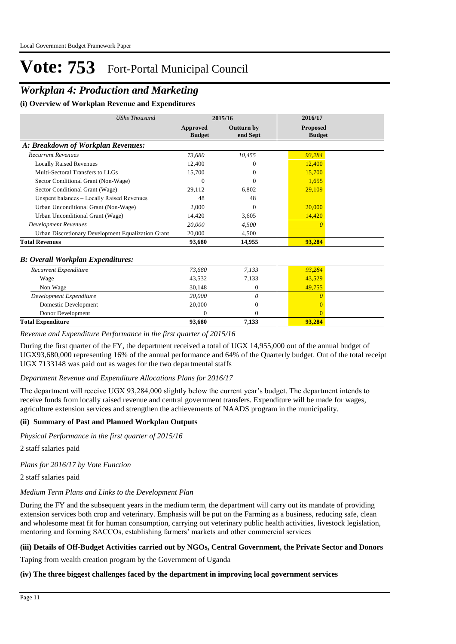## *Workplan 4: Production and Marketing*

**(i) Overview of Workplan Revenue and Expenditures**

| <b>UShs Thousand</b>                               |                           | 2015/16                       | 2016/17                          |
|----------------------------------------------------|---------------------------|-------------------------------|----------------------------------|
|                                                    | Approved<br><b>Budget</b> | <b>Outturn by</b><br>end Sept | <b>Proposed</b><br><b>Budget</b> |
| A: Breakdown of Workplan Revenues:                 |                           |                               |                                  |
| <b>Recurrent Revenues</b>                          | 73.680                    | 10,455                        | 93,284                           |
| <b>Locally Raised Revenues</b>                     | 12,400                    | 0                             | 12,400                           |
| Multi-Sectoral Transfers to LLGs                   | 15,700                    | 0                             | 15,700                           |
| Sector Conditional Grant (Non-Wage)                | $\Omega$                  | 0                             | 1,655                            |
| Sector Conditional Grant (Wage)                    | 29,112                    | 6,802                         | 29,109                           |
| Unspent balances - Locally Raised Revenues         | 48                        | 48                            |                                  |
| Urban Unconditional Grant (Non-Wage)               | 2,000                     | 0                             | 20,000                           |
| Urban Unconditional Grant (Wage)                   | 14,420                    | 3,605                         | 14,420                           |
| <b>Development Revenues</b>                        | 20,000                    | 4,500                         | $\Omega$                         |
| Urban Discretionary Development Equalization Grant | 20,000                    | 4.500                         |                                  |
| <b>Total Revenues</b>                              | 93,680                    | 14,955                        | 93,284                           |
| <b>B: Overall Workplan Expenditures:</b>           |                           |                               |                                  |
| Recurrent Expenditure                              | 73,680                    | 7,133                         | 93,284                           |
| Wage                                               | 43,532                    | 7,133                         | 43,529                           |
| Non Wage                                           | 30,148                    | $\mathbf{0}$                  | 49,755                           |
| Development Expenditure                            | 20,000                    | 0                             | $\Omega$                         |
| Domestic Development                               | 20,000                    | 0                             | $\Omega$                         |
| Donor Development                                  | $\Omega$                  | 0                             | $\Omega$                         |
| <b>Total Expenditure</b>                           | 93,680                    | 7,133                         | 93,284                           |

*Revenue and Expenditure Performance in the first quarter of 2015/16*

During the first quarter of the FY, the department received a total of UGX 14,955,000 out of the annual budget of UGX93,680,000 representing 16% of the annual performance and 64% of the Quarterly budget. Out of the total receipt UGX 7133148 was paid out as wages for the two departmental staffs

#### *Department Revenue and Expenditure Allocations Plans for 2016/17*

The department will receive UGX 93,284,000 slightly below the current year's budget. The department intends to receive funds from locally raised revenue and central government transfers. Expenditure will be made for wages, agriculture extension services and strengthen the achievements of NAADS program in the municipality.

#### **(ii) Summary of Past and Planned Workplan Outputs**

*Physical Performance in the first quarter of 2015/16*

2 staff salaries paid

*Plans for 2016/17 by Vote Function*

2 staff salaries paid

#### *Medium Term Plans and Links to the Development Plan*

During the FY and the subsequent years in the medium term, the department will carry out its mandate of providing extension services both crop and veterinary. Emphasis will be put on the Farming as a business, reducing safe, clean and wholesome meat fit for human consumption, carrying out veterinary public health activities, livestock legislation, mentoring and forming SACCOs, establishing farmers' markets and other commercial services

#### **(iii) Details of Off-Budget Activities carried out by NGOs, Central Government, the Private Sector and Donors**

Taping from wealth creation program by the Government of Uganda

#### **(iv) The three biggest challenges faced by the department in improving local government services**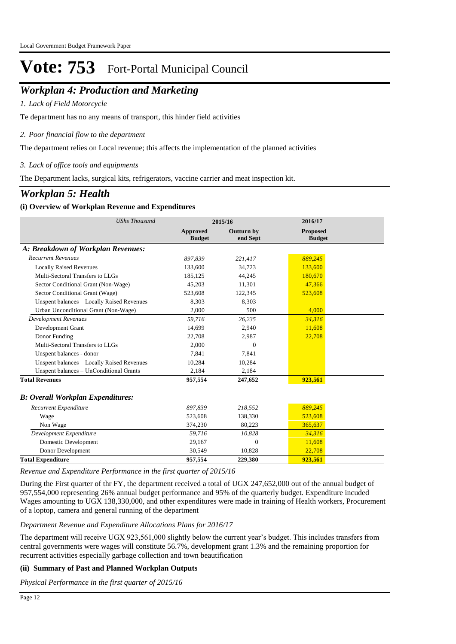## *Workplan 4: Production and Marketing*

*Lack of Field Motorcycle 1.*

Te department has no any means of transport, this hinder field activities

*Poor financial flow to the department 2.*

The department relies on Local revenue; this affects the implementation of the planned activities

*Lack of office tools and equipments 3.*

The Department lacks, surgical kits, refrigerators, vaccine carrier and meat inspection kit.

### *Workplan 5: Health*

#### **(i) Overview of Workplan Revenue and Expenditures**

| <b>UShs Thousand</b>                       |                                  | 2015/16                       | 2016/17                          |  |
|--------------------------------------------|----------------------------------|-------------------------------|----------------------------------|--|
|                                            | <b>Approved</b><br><b>Budget</b> | <b>Outturn by</b><br>end Sept | <b>Proposed</b><br><b>Budget</b> |  |
| A: Breakdown of Workplan Revenues:         |                                  |                               |                                  |  |
| <b>Recurrent Revenues</b>                  | 897,839                          | 221,417                       | 889,245                          |  |
| <b>Locally Raised Revenues</b>             | 133,600                          | 34,723                        | 133,600                          |  |
| Multi-Sectoral Transfers to LLGs           | 185.125                          | 44,245                        | 180.670                          |  |
| Sector Conditional Grant (Non-Wage)        | 45.203                           | 11,301                        | 47,366                           |  |
| Sector Conditional Grant (Wage)            | 523,608                          | 122,345                       | 523,608                          |  |
| Unspent balances - Locally Raised Revenues | 8,303                            | 8,303                         |                                  |  |
| Urban Unconditional Grant (Non-Wage)       | 2,000                            | 500                           | 4,000                            |  |
| <b>Development Revenues</b>                | 59,716                           | 26,235                        | 34,316                           |  |
| Development Grant                          | 14.699                           | 2.940                         | 11,608                           |  |
| Donor Funding                              | 22,708                           | 2,987                         | 22,708                           |  |
| Multi-Sectoral Transfers to LLGs           | 2,000                            | $\Omega$                      |                                  |  |
| Unspent balances - donor                   | 7.841                            | 7,841                         |                                  |  |
| Unspent balances - Locally Raised Revenues | 10,284                           | 10,284                        |                                  |  |
| Unspent balances - UnConditional Grants    | 2,184                            | 2,184                         |                                  |  |
| <b>Total Revenues</b>                      | 957,554                          | 247,652                       | 923,561                          |  |
| <b>B: Overall Workplan Expenditures:</b>   |                                  |                               |                                  |  |
| Recurrent Expenditure                      | 897,839                          | 218,552                       | 889,245                          |  |
| Wage                                       | 523,608                          | 138,330                       | 523,608                          |  |
| Non Wage                                   | 374,230                          | 80,223                        | 365,637                          |  |
| Development Expenditure                    | 59,716                           | 10,828                        | 34,316                           |  |
| Domestic Development                       | 29,167                           | $\theta$                      | 11,608                           |  |
| Donor Development                          | 30,549                           | 10,828                        | 22,708                           |  |
| <b>Total Expenditure</b>                   | 957,554                          | 229,380                       | 923,561                          |  |

*Revenue and Expenditure Performance in the first quarter of 2015/16*

During the First quarter of thr FY, the department received a total of UGX 247,652,000 out of the annual budget of 957,554,000 representing 26% annual budget performance and 95% of the quarterly budget. Expenditure incuded Wages amounting to UGX 138,330,000, and other expenditures were made in training of Health workers, Procurement of a loptop, camera and general running of the department

#### *Department Revenue and Expenditure Allocations Plans for 2016/17*

The department will receive UGX 923,561,000 slightly below the current year's budget. This includes transfers from central governments were wages will constitute 56.7%, development grant 1.3% and the remaining proportion for recurrent activities especially garbage collection and town beautification

#### **(ii) Summary of Past and Planned Workplan Outputs**

*Physical Performance in the first quarter of 2015/16*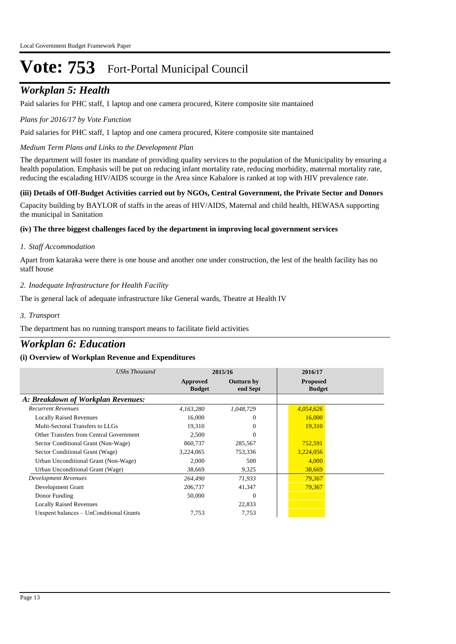## *Workplan 5: Health*

Paid salaries for PHC staff, 1 laptop and one camera procured, Kitere composite site mantained

#### *Plans for 2016/17 by Vote Function*

Paid salaries for PHC staff, 1 laptop and one camera procured, Kitere composite site mantained

*Medium Term Plans and Links to the Development Plan*

The department will foster its mandate of providing quality services to the population of the Municipality by ensuring a health population. Emphasis will be put on reducing infant mortality rate, reducing morbidity, maternal mortality rate, reducing the escalading HIV/AIDS scourge in the Area since Kabalore is ranked at top with HIV prevalence rate.

#### **(iii) Details of Off-Budget Activities carried out by NGOs, Central Government, the Private Sector and Donors**

Capacity building by BAYLOR of staffs in the areas of HIV/AIDS, Maternal and child health, HEWASA supporting the municipal in Sanitation

#### **(iv) The three biggest challenges faced by the department in improving local government services**

#### *Staff Accommodation 1.*

Apart from kataraka were there is one house and another one under construction, the lest of the health facility has no staff house

#### *Inadequate Infrastructure for Health Facility 2.*

The is general lack of adequate infrastructure like General wards, Theatre at Health IV

#### *Transport 3.*

The department has no running transport means to facilitate field activities

### *Workplan 6: Education*

| <b>UShs Thousand</b>                    |                           | 2015/16                       | 2016/17                          |
|-----------------------------------------|---------------------------|-------------------------------|----------------------------------|
|                                         | Approved<br><b>Budget</b> | <b>Outturn by</b><br>end Sept | <b>Proposed</b><br><b>Budget</b> |
| A: Breakdown of Workplan Revenues:      |                           |                               |                                  |
| <b>Recurrent Revenues</b>               | 4,163,280                 | 1,048,729                     | 4,054,626                        |
| <b>Locally Raised Revenues</b>          | 16,000                    | $\Omega$                      | 16,000                           |
| Multi-Sectoral Transfers to LLGs        | 19,310                    | $\Omega$                      | 19,310                           |
| Other Transfers from Central Government | 2,500                     | $\Omega$                      |                                  |
| Sector Conditional Grant (Non-Wage)     | 860,737                   | 285,567                       | 752,591                          |
| Sector Conditional Grant (Wage)         | 3,224,065                 | 753,336                       | 3,224,056                        |
| Urban Unconditional Grant (Non-Wage)    | 2,000                     | 500                           | 4,000                            |
| Urban Unconditional Grant (Wage)        | 38,669                    | 9,325                         | 38,669                           |
| Development Revenues                    | 264,490                   | 71,933                        | 79,367                           |
| Development Grant                       | 206,737                   | 41,347                        | 79,367                           |
| Donor Funding                           | 50,000                    | $\Omega$                      |                                  |
| <b>Locally Raised Revenues</b>          |                           | 22,833                        |                                  |
| Unspent balances - UnConditional Grants | 7,753                     | 7,753                         |                                  |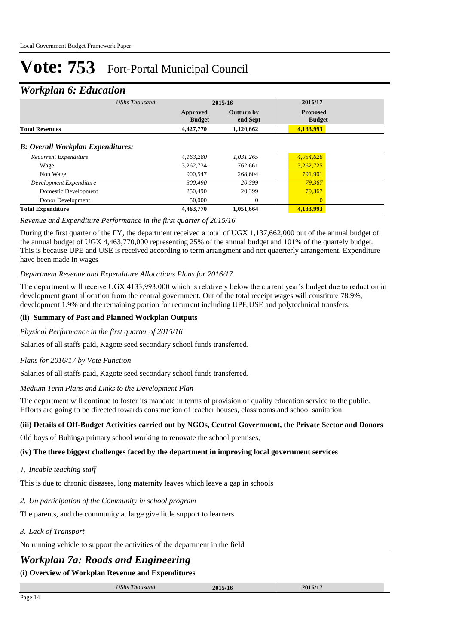### *Workplan 6: Education*

| UShs Thousand                            |                           | 2015/16                       | 2016/17                          |  |
|------------------------------------------|---------------------------|-------------------------------|----------------------------------|--|
|                                          | Approved<br><b>Budget</b> | <b>Outturn by</b><br>end Sept | <b>Proposed</b><br><b>Budget</b> |  |
| <b>Total Revenues</b>                    | 4,427,770                 | 1,120,662                     | 4,133,993                        |  |
| <b>B: Overall Workplan Expenditures:</b> |                           |                               |                                  |  |
| Recurrent Expenditure                    | 4.163.280                 | 1.031.265                     | 4,054,626                        |  |
| Wage                                     | 3,262,734                 | 762.661                       | 3,262,725                        |  |
| Non Wage                                 | 900,547                   | 268,604                       | 791,901                          |  |
| Development Expenditure                  | 300,490                   | 20,399                        | 79,367                           |  |
| Domestic Development                     | 250,490                   | 20,399                        | 79,367                           |  |
| Donor Development                        | 50,000                    | $\mathbf{0}$                  | $\overline{0}$                   |  |
| <b>Total Expenditure</b>                 | 4,463,770                 | 1,051,664                     | 4,133,993                        |  |

#### *Revenue and Expenditure Performance in the first quarter of 2015/16*

During the first quarter of the FY, the department received a total of UGX 1,137,662,000 out of the annual budget of the annual budget of UGX 4,463,770,000 representing 25% of the annual budget and 101% of the quartely budget. This is because UPE and USE is received according to term arrangment and not quaerterly arrangement. Expenditure have been made in wages

#### *Department Revenue and Expenditure Allocations Plans for 2016/17*

The department will receive UGX 4133,993,000 which is relatively below the current year's budget due to reduction in development grant allocation from the central government. Out of the total receipt wages will constitute 78.9%, development 1.9% and the remaining portion for recurrent including UPE,USE and polytechnical transfers.

#### **(ii) Summary of Past and Planned Workplan Outputs**

#### *Physical Performance in the first quarter of 2015/16*

Salaries of all staffs paid, Kagote seed secondary school funds transferred.

#### *Plans for 2016/17 by Vote Function*

Salaries of all staffs paid, Kagote seed secondary school funds transferred.

#### *Medium Term Plans and Links to the Development Plan*

The department will continue to foster its mandate in terms of provision of quality education service to the public. Efforts are going to be directed towards construction of teacher houses, classrooms and school sanitation

#### **(iii) Details of Off-Budget Activities carried out by NGOs, Central Government, the Private Sector and Donors**

Old boys of Buhinga primary school working to renovate the school premises,

#### **(iv) The three biggest challenges faced by the department in improving local government services**

*Incable teaching staff 1.*

This is due to chronic diseases, long maternity leaves which leave a gap in schools

*Un participation of the Community in school program 2.*

The parents, and the community at large give little support to learners

#### *Lack of Transport 3.*

No running vehicle to support the activities of the department in the field

## *Workplan 7a: Roads and Engineering*

| $\overline{r}$<br>T T T T<br>Sh.s<br>1 nousana | $20151$<br>2013/10 | 2016/17 |  |
|------------------------------------------------|--------------------|---------|--|
|                                                |                    |         |  |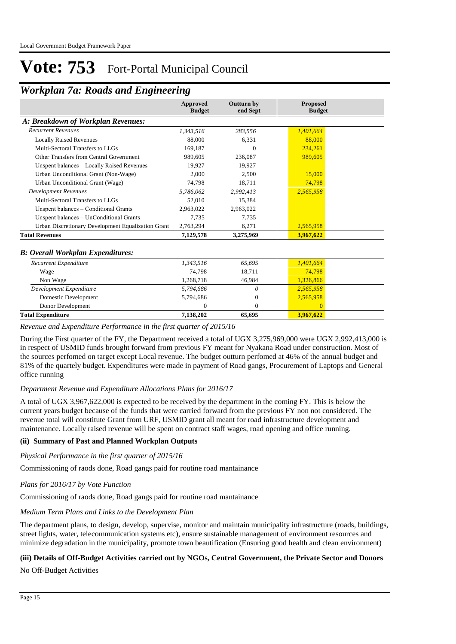| <u>HOTKpain Tu. Kouas and Engineering</u>          |                                  |                        |                                  |
|----------------------------------------------------|----------------------------------|------------------------|----------------------------------|
|                                                    | <b>Approved</b><br><b>Budget</b> | Outturn by<br>end Sept | <b>Proposed</b><br><b>Budget</b> |
| A: Breakdown of Workplan Revenues:                 |                                  |                        |                                  |
| <b>Recurrent Revenues</b>                          | 1,343,516                        | 283,556                | 1,401,664                        |
| <b>Locally Raised Revenues</b>                     | 88,000                           | 6,331                  | 88,000                           |
| Multi-Sectoral Transfers to LLGs                   | 169,187                          | $\Omega$               | 234,261                          |
| Other Transfers from Central Government            | 989,605                          | 236,087                | 989,605                          |
| Unspent balances - Locally Raised Revenues         | 19,927                           | 19,927                 |                                  |
| Urban Unconditional Grant (Non-Wage)               | 2,000                            | 2,500                  | 15,000                           |
| Urban Unconditional Grant (Wage)                   | 74,798                           | 18,711                 | 74,798                           |
| <b>Development Revenues</b>                        | 5,786,062                        | 2,992,413              | 2,565,958                        |
| Multi-Sectoral Transfers to LLGs                   | 52,010                           | 15,384                 |                                  |
| Unspent balances – Conditional Grants              | 2,963,022                        | 2,963,022              |                                  |
| Unspent balances - UnConditional Grants            | 7,735                            | 7,735                  |                                  |
| Urban Discretionary Development Equalization Grant | 2,763,294                        | 6,271                  | 2,565,958                        |
| <b>Total Revenues</b>                              | 7,129,578                        | 3,275,969              | 3,967,622                        |
| <b>B: Overall Workplan Expenditures:</b>           |                                  |                        |                                  |
| Recurrent Expenditure                              | 1,343,516                        | 65,695                 | 1,401,664                        |
| Wage                                               | 74,798                           | 18,711                 | 74,798                           |
| Non Wage                                           | 1,268,718                        | 46,984                 | 1,326,866                        |
| Development Expenditure                            | 5,794,686                        | $\theta$               | 2,565,958                        |
| Domestic Development                               | 5,794,686                        | $\Omega$               | 2,565,958                        |
| Donor Development                                  | $\mathbf{0}$                     | $\Omega$               | $\Omega$                         |
| <b>Total Expenditure</b>                           | 7,138,202                        | 65,695                 | 3,967,622                        |

## *Workplan 7a: Roads and Engineering*

#### *Revenue and Expenditure Performance in the first quarter of 2015/16*

During the First quarter of the FY, the Department received a total of UGX 3,275,969,000 were UGX 2,992,413,000 is in respect of USMID funds brought forward from previous FY meant for Nyakana Road under construction. Most of the sources perfomed on target except Local revenue. The budget outturn perfomed at 46% of the annual budget and 81% of the quartely budget. Expenditures were made in payment of Road gangs, Procurement of Laptops and General office running

#### *Department Revenue and Expenditure Allocations Plans for 2016/17*

A total of UGX 3,967,622,000 is expected to be received by the department in the coming FY. This is below the current years budget because of the funds that were carried forward from the previous FY non not considered. The revenue total will constitute Grant from URF, USMID grant all meant for road infrastructure development and maintenance. Locally raised revenue will be spent on contract staff wages, road opening and office running.

#### **(ii) Summary of Past and Planned Workplan Outputs**

*Physical Performance in the first quarter of 2015/16*

Commissioning of raods done, Road gangs paid for routine road mantainance

#### *Plans for 2016/17 by Vote Function*

Commissioning of raods done, Road gangs paid for routine road mantainance

### *Medium Term Plans and Links to the Development Plan*

The department plans, to design, develop, supervise, monitor and maintain municipality infrastructure (roads, buildings, street lights, water, telecommunication systems etc), ensure sustainable management of environment resources and minimize degradation in the municipality, promote town beautification (Ensuring good health and clean environment)

#### **(iii) Details of Off-Budget Activities carried out by NGOs, Central Government, the Private Sector and Donors**

No Off-Budget Activities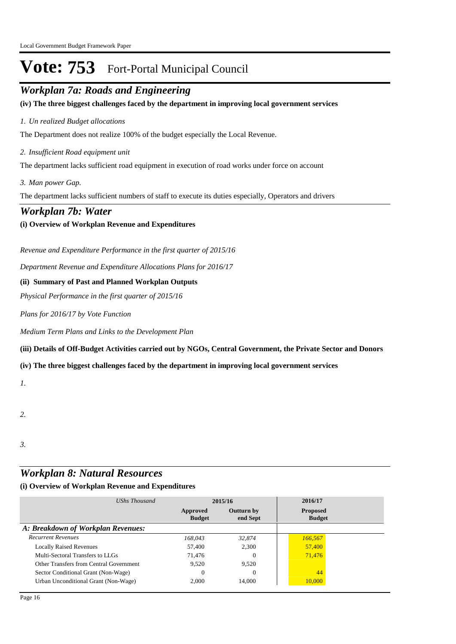## *Workplan 7a: Roads and Engineering*

**(iv) The three biggest challenges faced by the department in improving local government services**

#### *Un realized Budget allocations 1.*

The Department does not realize 100% of the budget especially the Local Revenue.

*Insufficient Road equipment unit 2.*

The department lacks sufficient road equipment in execution of road works under force on account

*Man power Gap. 3.*

The department lacks sufficient numbers of staff to execute its duties especially, Operators and drivers

#### *Workplan 7b: Water*

#### **(i) Overview of Workplan Revenue and Expenditures**

*Revenue and Expenditure Performance in the first quarter of 2015/16*

*Department Revenue and Expenditure Allocations Plans for 2016/17*

#### **(ii) Summary of Past and Planned Workplan Outputs**

*Physical Performance in the first quarter of 2015/16*

*Plans for 2016/17 by Vote Function*

*Medium Term Plans and Links to the Development Plan*

**(iii) Details of Off-Budget Activities carried out by NGOs, Central Government, the Private Sector and Donors** 

#### **(iv) The three biggest challenges faced by the department in improving local government services**

*1.*

#### *2.*

*3.*

## *Workplan 8: Natural Resources*

| UShs Thousand                           | 2015/16                   |                               | 2016/17                          |  |
|-----------------------------------------|---------------------------|-------------------------------|----------------------------------|--|
|                                         | Approved<br><b>Budget</b> | <b>Outturn by</b><br>end Sept | <b>Proposed</b><br><b>Budget</b> |  |
| A: Breakdown of Workplan Revenues:      |                           |                               |                                  |  |
| <b>Recurrent Revenues</b>               | 168.043                   | 32,874                        | 166,567                          |  |
| <b>Locally Raised Revenues</b>          | 57,400                    | 2,300                         | 57,400                           |  |
| Multi-Sectoral Transfers to LLGs        | 71.476                    | $\Omega$                      | 71,476                           |  |
| Other Transfers from Central Government | 9.520                     | 9.520                         |                                  |  |
| Sector Conditional Grant (Non-Wage)     | $\overline{0}$            | $\Omega$                      | 44                               |  |
| Urban Unconditional Grant (Non-Wage)    | 2.000                     | 14.000                        | 10,000                           |  |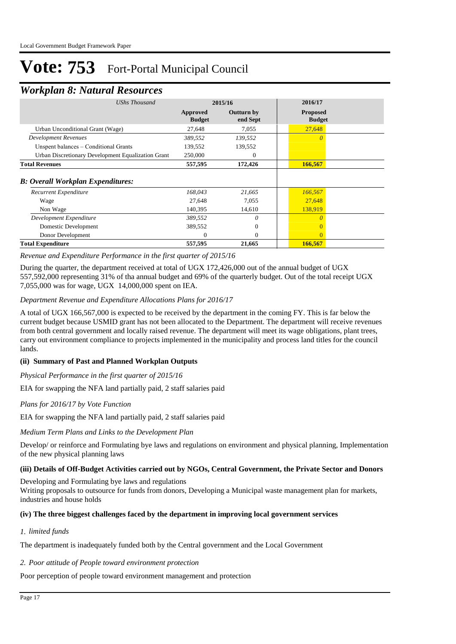### *Workplan 8: Natural Resources*

| UShs Thousand                                      | 2015/16                   |                               | 2016/17                          |  |
|----------------------------------------------------|---------------------------|-------------------------------|----------------------------------|--|
|                                                    | Approved<br><b>Budget</b> | <b>Outturn by</b><br>end Sept | <b>Proposed</b><br><b>Budget</b> |  |
| Urban Unconditional Grant (Wage)                   | 27,648                    | 7,055                         | 27,648                           |  |
| <b>Development Revenues</b>                        | 389,552                   | 139,552                       | $\theta$                         |  |
| Unspent balances – Conditional Grants              | 139,552                   | 139,552                       |                                  |  |
| Urban Discretionary Development Equalization Grant | 250,000                   | 0                             |                                  |  |
| <b>Total Revenues</b>                              | 557,595                   | 172,426                       | 166,567                          |  |
| <b>B: Overall Workplan Expenditures:</b>           |                           |                               |                                  |  |
| Recurrent Expenditure                              | 168,043                   | 21,665                        | 166,567                          |  |
| Wage                                               | 27,648                    | 7,055                         | 27,648                           |  |
| Non Wage                                           | 140,395                   | 14,610                        | 138,919                          |  |
| Development Expenditure                            | 389,552                   | 0                             |                                  |  |
| Domestic Development                               | 389,552                   | $\theta$                      |                                  |  |
| Donor Development                                  | $\Omega$                  | $\Omega$                      | $\Omega$                         |  |
| <b>Total Expenditure</b>                           | 557,595                   | 21,665                        | 166,567                          |  |

#### *Revenue and Expenditure Performance in the first quarter of 2015/16*

During the quarter, the department received at total of UGX 172,426,000 out of the annual budget of UGX 557,592,000 representing 31% of tha annual budget and 69% of the quarterly budget. Out of the total receipt UGX 7,055,000 was for wage, UGX 14,000,000 spent on IEA.

#### *Department Revenue and Expenditure Allocations Plans for 2016/17*

A total of UGX 166,567,000 is expected to be received by the department in the coming FY. This is far below the current budget because USMID grant has not been allocated to the Department. The department will receive revenues from both central government and locally raised revenue. The department will meet its wage obligations, plant trees, carry out environment compliance to projects implemented in the municipality and process land titles for the council lands.

#### **(ii) Summary of Past and Planned Workplan Outputs**

*Physical Performance in the first quarter of 2015/16*

EIA for swapping the NFA land partially paid, 2 staff salaries paid

*Plans for 2016/17 by Vote Function*

EIA for swapping the NFA land partially paid, 2 staff salaries paid

*Medium Term Plans and Links to the Development Plan*

Develop/ or reinforce and Formulating bye laws and regulations on environment and physical planning, Implementation of the new physical planning laws

#### **(iii) Details of Off-Budget Activities carried out by NGOs, Central Government, the Private Sector and Donors**

Developing and Formulating bye laws and regulations

Writing proposals to outsource for funds from donors, Developing a Municipal waste management plan for markets, industries and house holds

#### **(iv) The three biggest challenges faced by the department in improving local government services**

#### *limited funds 1.*

The department is inadequately funded both by the Central government and the Local Government

#### *Poor attitude of People toward environment protection 2.*

Poor perception of people toward environment management and protection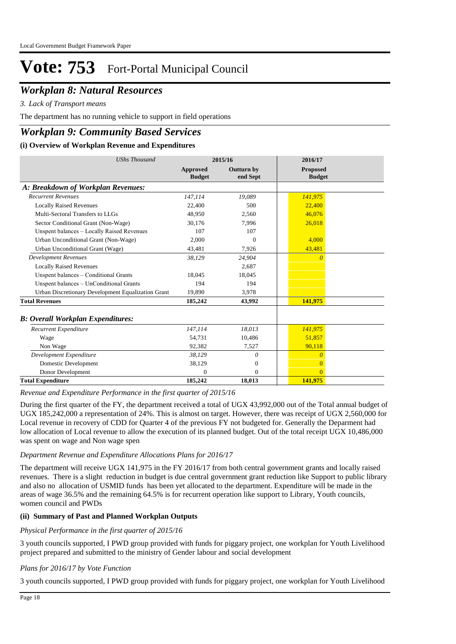## *Workplan 8: Natural Resources*

*Lack of Transport means 3.*

The department has no running vehicle to support in field operations

### *Workplan 9: Community Based Services*

#### **(i) Overview of Workplan Revenue and Expenditures**

| <b>UShs Thousand</b>                               | 2015/16                   |                               | 2016/17                          |  |
|----------------------------------------------------|---------------------------|-------------------------------|----------------------------------|--|
|                                                    | Approved<br><b>Budget</b> | <b>Outturn by</b><br>end Sept | <b>Proposed</b><br><b>Budget</b> |  |
| A: Breakdown of Workplan Revenues:                 |                           |                               |                                  |  |
| <b>Recurrent Revenues</b>                          | 147,114                   | 19,089                        | 141,975                          |  |
| <b>Locally Raised Revenues</b>                     | 22,400                    | 500                           | 22,400                           |  |
| Multi-Sectoral Transfers to LLGs                   | 48.950                    | 2.560                         | 46,076                           |  |
| Sector Conditional Grant (Non-Wage)                | 30.176                    | 7,996                         | 26,018                           |  |
| Unspent balances - Locally Raised Revenues         | 107                       | 107                           |                                  |  |
| Urban Unconditional Grant (Non-Wage)               | 2.000                     | $\Omega$                      | 4.000                            |  |
| <b>Urban Unconditional Grant (Wage)</b>            | 43,481                    | 7,926                         | 43,481                           |  |
| <b>Development Revenues</b>                        | 38,129                    | 24,904                        | $\theta$                         |  |
| <b>Locally Raised Revenues</b>                     |                           | 2.687                         |                                  |  |
| Unspent balances - Conditional Grants              | 18.045                    | 18,045                        |                                  |  |
| Unspent balances - UnConditional Grants            | 194                       | 194                           |                                  |  |
| Urban Discretionary Development Equalization Grant | 19.890                    | 3,978                         |                                  |  |
| <b>Total Revenues</b>                              | 185,242                   | 43,992                        | 141,975                          |  |
| <b>B</b> : Overall Workplan Expenditures:          |                           |                               |                                  |  |
| Recurrent Expenditure                              | 147,114                   | 18.013                        | 141,975                          |  |
| Wage                                               | 54,731                    | 10,486                        | 51,857                           |  |
| Non Wage                                           | 92,382                    | 7,527                         | 90,118                           |  |
| Development Expenditure                            | 38,129                    | $\theta$                      | $\theta$                         |  |
| Domestic Development                               | 38,129                    | $\overline{0}$                | $\Omega$                         |  |
| Donor Development                                  | $\Omega$                  | $\theta$                      | $\Omega$                         |  |
| <b>Total Expenditure</b>                           | 185,242                   | 18,013                        | 141,975                          |  |

*Revenue and Expenditure Performance in the first quarter of 2015/16*

During the first quarter of the FY, the department received a total of UGX 43,992,000 out of the Total annual budget of UGX 185,242,000 a representation of 24%. This is almost on target. However, there was receipt of UGX 2,560,000 for Local revenue in recovery of CDD for Quarter 4 of the previous FY not budgeted for. Generally the Deparment had low allocation of Local revenue to allow the execution of its planned budget. Out of the total receipt UGX 10,486,000 was spent on wage and Non wage spen

#### *Department Revenue and Expenditure Allocations Plans for 2016/17*

The department will receive UGX 141,975 in the FY 2016/17 from both central government grants and locally raised revenues. There is a slight reduction in budget is due central government grant reduction like Support to public library and also no allocation of USMID funds has been yet allocated to the department. Expenditure will be made in the areas of wage 36.5% and the remaining 64.5% is for recurrent operation like support to Library, Youth councils, women council and PWDs

#### **(ii) Summary of Past and Planned Workplan Outputs**

#### *Physical Performance in the first quarter of 2015/16*

3 youth councils supported, I PWD group provided with funds for piggary project, one workplan for Youth Livelihood project prepared and submitted to the ministry of Gender labour and social development

#### *Plans for 2016/17 by Vote Function*

3 youth councils supported, I PWD group provided with funds for piggary project, one workplan for Youth Livelihood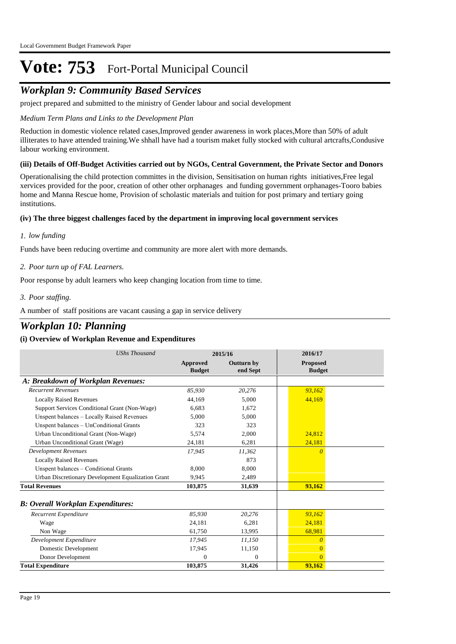## *Workplan 9: Community Based Services*

project prepared and submitted to the ministry of Gender labour and social development

#### *Medium Term Plans and Links to the Development Plan*

Reduction in domestic violence related cases,Improved gender awareness in work places,More than 50% of adult illiterates to have attended training.We shhall have had a tourism maket fully stocked with cultural artcrafts,Condusive labour working environment.

#### **(iii) Details of Off-Budget Activities carried out by NGOs, Central Government, the Private Sector and Donors**

Operationalising the child protection committes in the division, Sensitisation on human rights initiatives,Free legal xervices provided for the poor, creation of other other orphanages and funding government orphanages-Tooro babies home and Manna Rescue home, Provision of scholastic materials and tuition for post primary and tertiary going institutions.

#### **(iv) The three biggest challenges faced by the department in improving local government services**

#### *low funding 1.*

Funds have been reducing overtime and community are more alert with more demands.

#### *Poor turn up of FAL Learners. 2.*

Poor response by adult learners who keep changing location from time to time.

#### *Poor staffing. 3.*

A number of staff positions are vacant causing a gap in service delivery

### *Workplan 10: Planning*

| <b>UShs Thousand</b><br>2015/16                    |                           |                               | 2016/17                          |  |
|----------------------------------------------------|---------------------------|-------------------------------|----------------------------------|--|
|                                                    | Approved<br><b>Budget</b> | <b>Outturn by</b><br>end Sept | <b>Proposed</b><br><b>Budget</b> |  |
| A: Breakdown of Workplan Revenues:                 |                           |                               |                                  |  |
| <b>Recurrent Revenues</b>                          | 85.930                    | 20,276                        | 93.162                           |  |
| <b>Locally Raised Revenues</b>                     | 44,169                    | 5,000                         | 44,169                           |  |
| Support Services Conditional Grant (Non-Wage)      | 6.683                     | 1,672                         |                                  |  |
| Unspent balances - Locally Raised Revenues         | 5.000                     | 5,000                         |                                  |  |
| Unspent balances - UnConditional Grants            | 323                       | 323                           |                                  |  |
| Urban Unconditional Grant (Non-Wage)               | 5,574                     | 2,000                         | 24,812                           |  |
| Urban Unconditional Grant (Wage)                   | 24,181                    | 6,281                         | 24,181                           |  |
| <b>Development Revenues</b>                        | 17,945                    | 11,362                        | $\Omega$                         |  |
| <b>Locally Raised Revenues</b>                     |                           | 873                           |                                  |  |
| Unspent balances - Conditional Grants              | 8,000                     | 8,000                         |                                  |  |
| Urban Discretionary Development Equalization Grant | 9,945                     | 2,489                         |                                  |  |
| <b>Total Revenues</b>                              | 103,875                   | 31,639                        | 93,162                           |  |
| <b>B: Overall Workplan Expenditures:</b>           |                           |                               |                                  |  |
| Recurrent Expenditure                              | 85,930                    | 20,276                        | 93,162                           |  |
| Wage                                               | 24,181                    | 6,281                         | 24,181                           |  |
| Non Wage                                           | 61,750                    | 13,995                        | 68,981                           |  |
| Development Expenditure                            | 17,945                    | 11,150                        | $\Omega$                         |  |
| Domestic Development                               | 17,945                    | 11,150                        | 0                                |  |
| Donor Development                                  | $\Omega$                  | $\Omega$                      | $\theta$                         |  |
| <b>Total Expenditure</b>                           | 103,875                   | 31,426                        | 93,162                           |  |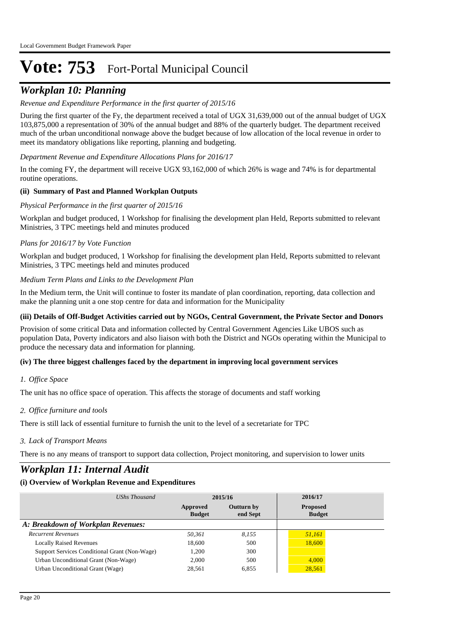## *Workplan 10: Planning*

#### *Revenue and Expenditure Performance in the first quarter of 2015/16*

During the first quarter of the Fy, the department received a total of UGX 31,639,000 out of the annual budget of UGX 103,875,000 a representation of 30% of the annual budget and 88% of the quarterly budget. The department received much of the urban unconditional nonwage above the budget because of low allocation of the local revenue in order to meet its mandatory obligations like reporting, planning and budgeting.

#### *Department Revenue and Expenditure Allocations Plans for 2016/17*

In the coming FY, the department will receive UGX 93,162,000 of which 26% is wage and 74% is for departmental routine operations.

#### **(ii) Summary of Past and Planned Workplan Outputs**

#### *Physical Performance in the first quarter of 2015/16*

Workplan and budget produced, 1 Workshop for finalising the development plan Held, Reports submitted to relevant Ministries, 3 TPC meetings held and minutes produced

#### *Plans for 2016/17 by Vote Function*

Workplan and budget produced, 1 Workshop for finalising the development plan Held, Reports submitted to relevant Ministries, 3 TPC meetings held and minutes produced

#### *Medium Term Plans and Links to the Development Plan*

In the Medium term, the Unit will continue to foster its mandate of plan coordination, reporting, data collection and make the planning unit a one stop centre for data and information for the Municipality

#### **(iii) Details of Off-Budget Activities carried out by NGOs, Central Government, the Private Sector and Donors**

Provision of some critical Data and information collected by Central Government Agencies Like UBOS such as population Data, Poverty indicators and also liaison with both the District and NGOs operating within the Municipal to produce the necessary data and information for planning.

#### **(iv) The three biggest challenges faced by the department in improving local government services**

#### *Office Space 1.*

The unit has no office space of operation. This affects the storage of documents and staff working

#### *Office furniture and tools 2.*

There is still lack of essential furniture to furnish the unit to the level of a secretariate for TPC

#### *Lack of Transport Means 3.*

There is no any means of transport to support data collection, Project monitoring, and supervision to lower units

### *Workplan 11: Internal Audit*

| UShs Thousand                                 | 2015/16                   |                               | 2016/17                          |
|-----------------------------------------------|---------------------------|-------------------------------|----------------------------------|
|                                               | Approved<br><b>Budget</b> | <b>Outturn by</b><br>end Sept | <b>Proposed</b><br><b>Budget</b> |
| A: Breakdown of Workplan Revenues:            |                           |                               |                                  |
| <b>Recurrent Revenues</b>                     | 50,361                    | 8.155                         | 51,161                           |
| <b>Locally Raised Revenues</b>                | 18,600                    | 500                           | 18,600                           |
| Support Services Conditional Grant (Non-Wage) | 1,200                     | 300                           |                                  |
| Urban Unconditional Grant (Non-Wage)          | 2.000                     | 500                           | 4,000                            |
| Urban Unconditional Grant (Wage)              | 28,561                    | 6,855                         | 28,561                           |